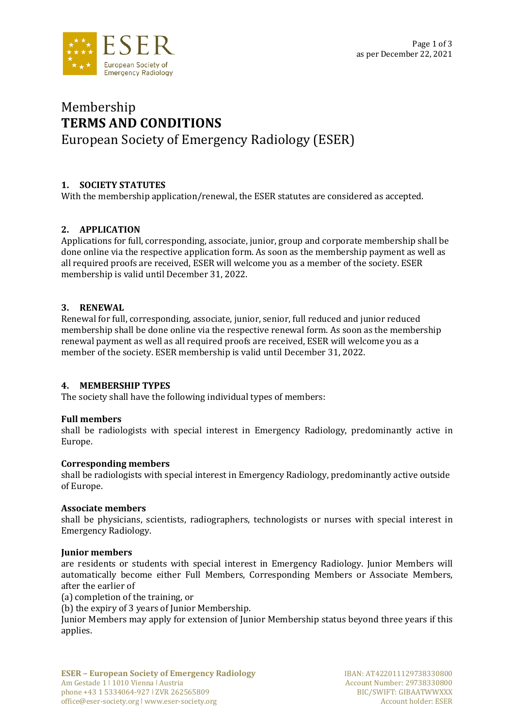

# Membership **TERMS AND CONDITIONS** European Society of Emergency Radiology (ESER)

# **1. SOCIETY STATUTES**

With the membership application/renewal, the ESER statutes are considered as accepted.

# **2. APPLICATION**

Applications for full, corresponding, associate, junior, group and corporate membership shall be done online via the respective application form. As soon as the membership payment as well as all required proofs are received, ESER will welcome you as a member of the society. ESER membership is valid until December 31, 2022.

# **3. RENEWAL**

Renewal for full, corresponding, associate, junior, senior, full reduced and junior reduced membership shall be done online via the respective renewal form. As soon as the membership renewal payment as well as all required proofs are received, ESER will welcome you as a member of the society. ESER membership is valid until December 31, 2022.

# **4. MEMBERSHIP TYPES**

The society shall have the following individual types of members:

# **Full members**

shall be radiologists with special interest in Emergency Radiology, predominantly active in Europe.

# **Corresponding members**

shall be radiologists with special interest in Emergency Radiology, predominantly active outside of Europe.

#### **Associate members**

shall be physicians, scientists, radiographers, technologists or nurses with special interest in Emergency Radiology.

#### **Junior members**

are residents or students with special interest in Emergency Radiology. Junior Members will automatically become either Full Members, Corresponding Members or Associate Members, after the earlier of

(a) completion of the training, or

(b) the expiry of 3 years of Junior Membership.

Junior Members may apply for extension of Junior Membership status beyond three years if this applies.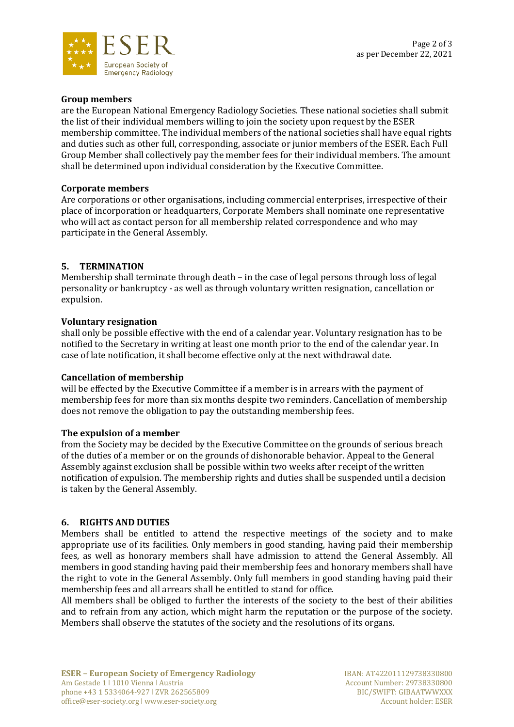

### **Group members**

are the European National Emergency Radiology Societies. These national societies shall submit the list of their individual members willing to join the society upon request by the ESER membership committee. The individual members of the national societies shall have equal rights and duties such as other full, corresponding, associate or junior members of the ESER. Each Full Group Member shall collectively pay the member fees for their individual members. The amount shall be determined upon individual consideration by the Executive Committee.

#### **Corporate members**

Are corporations or other organisations, including commercial enterprises, irrespective of their place of incorporation or headquarters, Corporate Members shall nominate one representative who will act as contact person for all membership related correspondence and who may participate in the General Assembly.

#### **5. TERMINATION**

Membership shall terminate through death – in the case of legal persons through loss of legal personality or bankruptcy - as well as through voluntary written resignation, cancellation or expulsion.

#### **Voluntary resignation**

shall only be possible effective with the end of a calendar year. Voluntary resignation has to be notified to the Secretary in writing at least one month prior to the end of the calendar year. In case of late notification, it shall become effective only at the next withdrawal date.

#### **Cancellation of membership**

will be effected by the Executive Committee if a member is in arrears with the payment of membership fees for more than six months despite two reminders. Cancellation of membership does not remove the obligation to pay the outstanding membership fees.

#### **The expulsion of a member**

from the Society may be decided by the Executive Committee on the grounds of serious breach of the duties of a member or on the grounds of dishonorable behavior. Appeal to the General Assembly against exclusion shall be possible within two weeks after receipt of the written notification of expulsion. The membership rights and duties shall be suspended until a decision is taken by the General Assembly.

#### **6. RIGHTS AND DUTIES**

Members shall be entitled to attend the respective meetings of the society and to make appropriate use of its facilities. Only members in good standing, having paid their membership fees, as well as honorary members shall have admission to attend the General Assembly. All members in good standing having paid their membership fees and honorary members shall have the right to vote in the General Assembly. Only full members in good standing having paid their membership fees and all arrears shall be entitled to stand for office.

All members shall be obliged to further the interests of the society to the best of their abilities and to refrain from any action, which might harm the reputation or the purpose of the society. Members shall observe the statutes of the society and the resolutions of its organs.